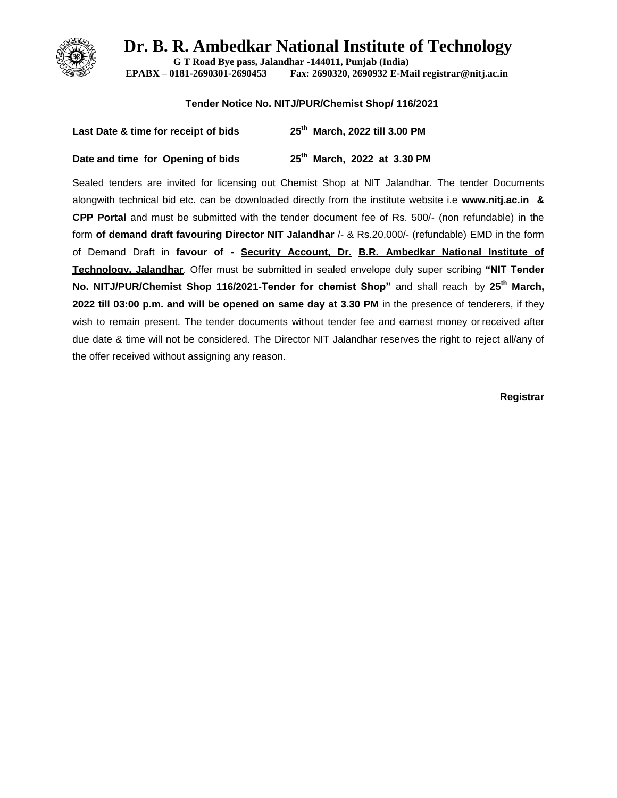

**G T Road Bye pass, Jalandhar -144011, Punjab (India) EPABX – 0181-2690301-2690453 Fax: 2690320, 2690932 E-Mail registrar@nitj.ac.in**

#### **Tender Notice No. NITJ/PUR/Chemist Shop/ 116/2021**

| Last Date & time for receipt of bids | 25 <sup>th</sup> March, 2022 till 3.00 PM |
|--------------------------------------|-------------------------------------------|
| Date and time for Opening of bids    | 25 <sup>th</sup> March, 2022 at 3.30 PM   |

Sealed tenders are invited for licensing out Chemist Shop at NIT Jalandhar. The tender Documents alongwith technical bid etc. can be downloaded directly from the institute website i.e **[www.nitj.ac.in](http://www.nitj.ac.in/) & CPP Portal** and must be submitted with the tender document fee of Rs. 500/- (non refundable) in the form **of demand draft favouring Director NIT Jalandhar** /- & Rs.20,000/- (refundable) EMD in the form of Demand Draft in **favour of - Security Account, Dr. B.R. Ambedkar National Institute of Technology, Jalandhar**. Offer must be submitted in sealed envelope duly super scribing **"NIT Tender No. NITJ/PUR/Chemist Shop 116/2021-Tender for chemist Shop"** and shall reach by **25th March, 2022 till 03:00 p.m. and will be opened on same day at 3.30 PM** in the presence of tenderers, if they wish to remain present. The tender documents without tender fee and earnest money or received after due date & time will not be considered. The Director NIT Jalandhar reserves the right to reject all/any of the offer received without assigning any reason.

**Registrar**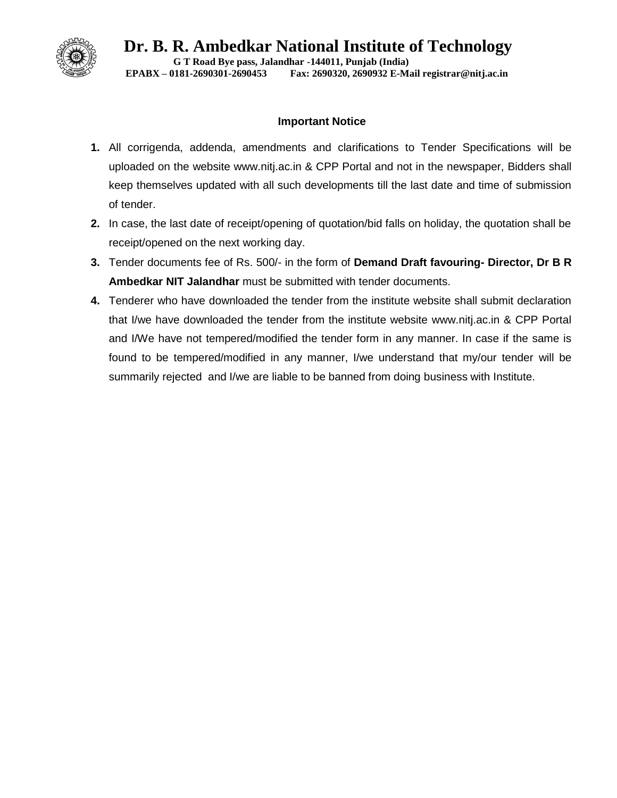

**Dr. B. R. Ambedkar National Institute of Technology G T Road Bye pass, Jalandhar -144011, Punjab (India) EPABX – 0181-2690301-2690453 Fax: 2690320, 2690932 E-Mail registrar@nitj.ac.in**

## **Important Notice**

- **1.** All corrigenda, addenda, amendments and clarifications to Tender Specifications will be uploaded on the website [www.nitj.ac.in](http://www.nitj.ac.in/) & CPP Portal and not in the newspaper, Bidders shall keep themselves updated with all such developments till the last date and time of submission of tender.
- **2.** In case, the last date of receipt/opening of quotation/bid falls on holiday, the quotation shall be receipt/opened on the next working day.
- **3.** Tender documents fee of Rs. 500/- in the form of **Demand Draft favouring- Director, Dr B R Ambedkar NIT Jalandhar** must be submitted with tender documents.
- **4.** Tenderer who have downloaded the tender from the institute website shall submit declaration that I/we have downloaded the tender from the institute website [www.nitj.ac.in](http://www.nitj.ac.in/) & CPP Portal and I/We have not tempered/modified the tender form in any manner. In case if the same is found to be tempered/modified in any manner, I/we understand that my/our tender will be summarily rejected and I/we are liable to be banned from doing business with Institute.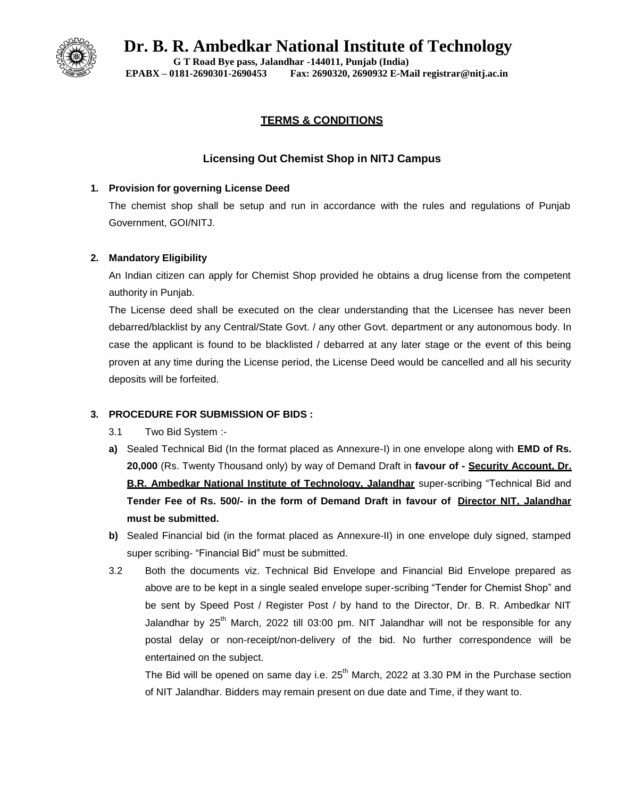

**G T Road Bye pass, Jalandhar -144011, Punjab (India) EPABX – 0181-2690301-2690453 Fax: 2690320, 2690932 E-Mail registrar@nitj.ac.in**

# **TERMS & CONDITIONS**

# **Licensing Out Chemist Shop in NITJ Campus**

## **1. Provision for governing License Deed**

The chemist shop shall be setup and run in accordance with the rules and regulations of Punjab Government, GOI/NITJ.

## **2. Mandatory Eligibility**

An Indian citizen can apply for Chemist Shop provided he obtains a drug license from the competent authority in Punjab.

The License deed shall be executed on the clear understanding that the Licensee has never been debarred/blacklist by any Central/State Govt. / any other Govt. department or any autonomous body. In case the applicant is found to be blacklisted / debarred at any later stage or the event of this being proven at any time during the License period, the License Deed would be cancelled and all his security deposits will be forfeited.

## **3. PROCEDURE FOR SUBMISSION OF BIDS :**

- 3.1 Two Bid System :-
- **a)** Sealed Technical Bid (In the format placed as Annexure-I) in one envelope along with **EMD of Rs. 20,000** (Rs. Twenty Thousand only) by way of Demand Draft in **favour of - Security Account, Dr. B.R. Ambedkar National Institute of Technology. Jalandhar** super-scribing "Technical Bid and **Tender Fee of Rs. 500/- in the form of Demand Draft in favour of Director NIT, Jalandhar must be submitted.**
- **b)** Sealed Financial bid (in the format placed as Annexure-II) in one envelope duly signed, stamped super scribing- "Financial Bid" must be submitted.
- 3.2 Both the documents viz. Technical Bid Envelope and Financial Bid Envelope prepared as above are to be kept in a single sealed envelope super-scribing "Tender for Chemist Shop" and be sent by Speed Post / Register Post / by hand to the Director, Dr. B. R. Ambedkar NIT Jalandhar by  $25<sup>th</sup>$  March, 2022 till 03:00 pm. NIT Jalandhar will not be responsible for any postal delay or non-receipt/non-delivery of the bid. No further correspondence will be entertained on the subject.

The Bid will be opened on same day i.e.  $25<sup>th</sup>$  March, 2022 at 3.30 PM in the Purchase section of NIT Jalandhar. Bidders may remain present on due date and Time, if they want to.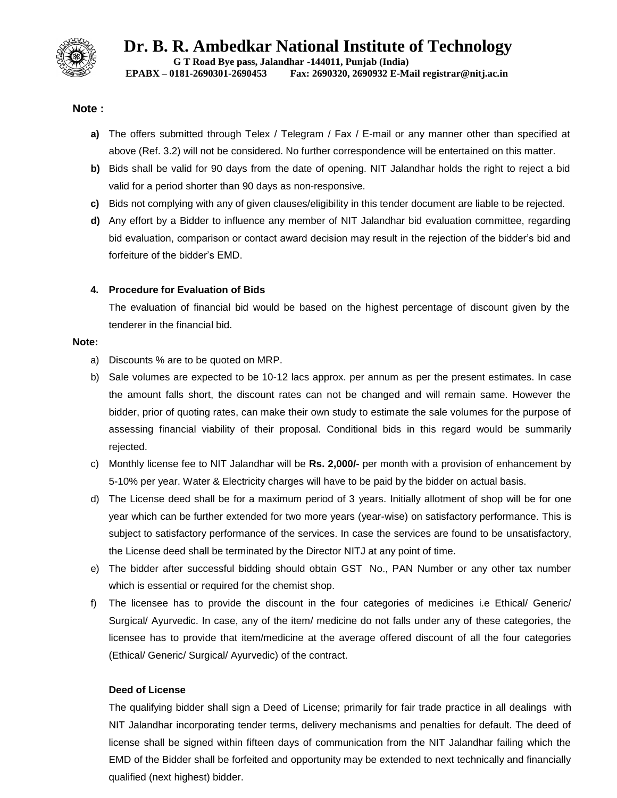

**Dr. B. R. Ambedkar National Institute of Technology G T Road Bye pass, Jalandhar -144011, Punjab (India)**

**EPABX – 0181-2690301-2690453 Fax: 2690320, 2690932 E-Mail registrar@nitj.ac.in**

### **Note :**

- **a)** The offers submitted through Telex / Telegram / Fax / E-mail or any manner other than specified at above (Ref. 3.2) will not be considered. No further correspondence will be entertained on this matter.
- **b)** Bids shall be valid for 90 days from the date of opening. NIT Jalandhar holds the right to reject a bid valid for a period shorter than 90 days as non-responsive.
- **c)** Bids not complying with any of given clauses/eligibility in this tender document are liable to be rejected.
- **d)** Any effort by a Bidder to influence any member of NIT Jalandhar bid evaluation committee, regarding bid evaluation, comparison or contact award decision may result in the rejection of the bidder's bid and forfeiture of the bidder's EMD.

### **4. Procedure for Evaluation of Bids**

The evaluation of financial bid would be based on the highest percentage of discount given by the tenderer in the financial bid.

#### **Note:**

- a) Discounts % are to be quoted on MRP.
- b) Sale volumes are expected to be 10-12 lacs approx. per annum as per the present estimates. In case the amount falls short, the discount rates can not be changed and will remain same. However the bidder, prior of quoting rates, can make their own study to estimate the sale volumes for the purpose of assessing financial viability of their proposal. Conditional bids in this regard would be summarily rejected.
- c) Monthly license fee to NIT Jalandhar will be **Rs. 2,000/-** per month with a provision of enhancement by 5-10% per year. Water & Electricity charges will have to be paid by the bidder on actual basis.
- d) The License deed shall be for a maximum period of 3 years. Initially allotment of shop will be for one year which can be further extended for two more years (year-wise) on satisfactory performance. This is subject to satisfactory performance of the services. In case the services are found to be unsatisfactory, the License deed shall be terminated by the Director NITJ at any point of time.
- e) The bidder after successful bidding should obtain GST No., PAN Number or any other tax number which is essential or required for the chemist shop.
- f) The licensee has to provide the discount in the four categories of medicines i.e Ethical/ Generic/ Surgical/ Ayurvedic. In case, any of the item/ medicine do not falls under any of these categories, the licensee has to provide that item/medicine at the average offered discount of all the four categories (Ethical/ Generic/ Surgical/ Ayurvedic) of the contract.

#### **Deed of License**

The qualifying bidder shall sign a Deed of License; primarily for fair trade practice in all dealings with NIT Jalandhar incorporating tender terms, delivery mechanisms and penalties for default. The deed of license shall be signed within fifteen days of communication from the NIT Jalandhar failing which the EMD of the Bidder shall be forfeited and opportunity may be extended to next technically and financially qualified (next highest) bidder.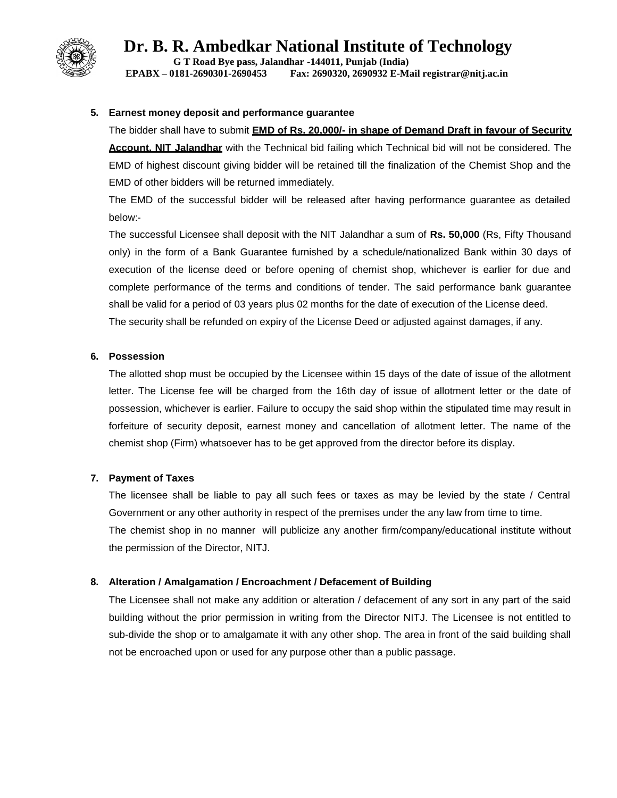

**G T Road Bye pass, Jalandhar -144011, Punjab (India) EPABX – 0181-2690301-2690453 Fax: 2690320, 2690932 E-Mail registrar@nitj.ac.in**

### **5. Earnest money deposit and performance guarantee**

The bidder shall have to submit **EMD of Rs. 20,000/- in shape of Demand Draft in favour of Security Account, NIT Jalandhar** with the Technical bid failing which Technical bid will not be considered. The EMD of highest discount giving bidder will be retained till the finalization of the Chemist Shop and the EMD of other bidders will be returned immediately.

The EMD of the successful bidder will be released after having performance guarantee as detailed below:-

The successful Licensee shall deposit with the NIT Jalandhar a sum of **Rs. 50,000** (Rs, Fifty Thousand only) in the form of a Bank Guarantee furnished by a schedule/nationalized Bank within 30 days of execution of the license deed or before opening of chemist shop, whichever is earlier for due and complete performance of the terms and conditions of tender. The said performance bank guarantee shall be valid for a period of 03 years plus 02 months for the date of execution of the License deed. The security shall be refunded on expiry of the License Deed or adjusted against damages, if any.

### **6. Possession**

The allotted shop must be occupied by the Licensee within 15 days of the date of issue of the allotment letter. The License fee will be charged from the 16th day of issue of allotment letter or the date of possession, whichever is earlier. Failure to occupy the said shop within the stipulated time may result in forfeiture of security deposit, earnest money and cancellation of allotment letter. The name of the chemist shop (Firm) whatsoever has to be get approved from the director before its display.

## **7. Payment of Taxes**

The licensee shall be liable to pay all such fees or taxes as may be levied by the state / Central Government or any other authority in respect of the premises under the any law from time to time. The chemist shop in no manner will publicize any another firm/company/educational institute without the permission of the Director, NITJ.

#### **8. Alteration / Amalgamation / Encroachment / Defacement of Building**

The Licensee shall not make any addition or alteration / defacement of any sort in any part of the said building without the prior permission in writing from the Director NITJ. The Licensee is not entitled to sub-divide the shop or to amalgamate it with any other shop. The area in front of the said building shall not be encroached upon or used for any purpose other than a public passage.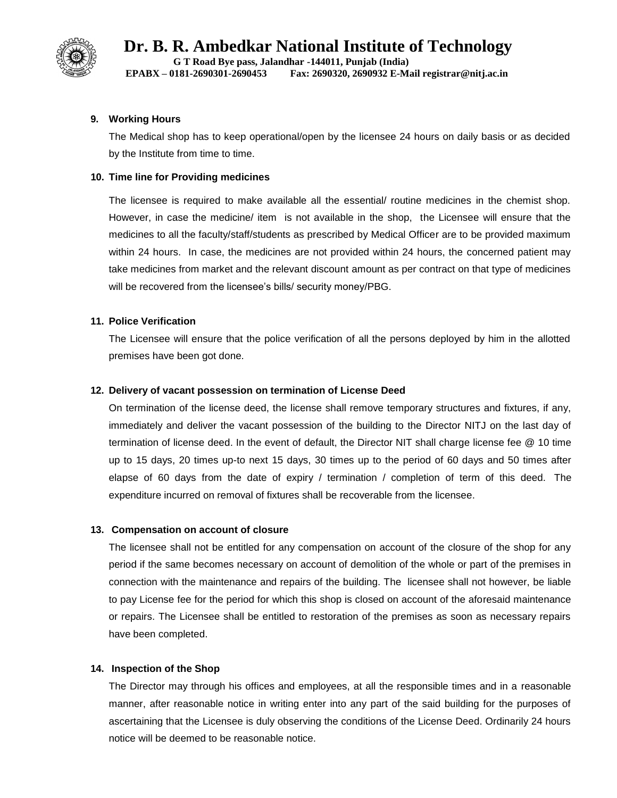

**Dr. B. R. Ambedkar National Institute of Technology G T Road Bye pass, Jalandhar -144011, Punjab (India)**

**EPABX – 0181-2690301-2690453 Fax: 2690320, 2690932 E-Mail registrar@nitj.ac.in**

### **9. Working Hours**

The Medical shop has to keep operational/open by the licensee 24 hours on daily basis or as decided by the Institute from time to time.

### **10. Time line for Providing medicines**

The licensee is required to make available all the essential/ routine medicines in the chemist shop. However, in case the medicine/ item is not available in the shop, the Licensee will ensure that the medicines to all the faculty/staff/students as prescribed by Medical Officer are to be provided maximum within 24 hours. In case, the medicines are not provided within 24 hours, the concerned patient may take medicines from market and the relevant discount amount as per contract on that type of medicines will be recovered from the licensee's bills/ security money/PBG.

### **11. Police Verification**

The Licensee will ensure that the police verification of all the persons deployed by him in the allotted premises have been got done.

### **12. Delivery of vacant possession on termination of License Deed**

On termination of the license deed, the license shall remove temporary structures and fixtures, if any, immediately and deliver the vacant possession of the building to the Director NITJ on the last day of termination of license deed. In the event of default, the Director NIT shall charge license fee @ 10 time up to 15 days, 20 times up-to next 15 days, 30 times up to the period of 60 days and 50 times after elapse of 60 days from the date of expiry / termination / completion of term of this deed. The expenditure incurred on removal of fixtures shall be recoverable from the licensee.

#### **13. Compensation on account of closure**

The licensee shall not be entitled for any compensation on account of the closure of the shop for any period if the same becomes necessary on account of demolition of the whole or part of the premises in connection with the maintenance and repairs of the building. The licensee shall not however, be liable to pay License fee for the period for which this shop is closed on account of the aforesaid maintenance or repairs. The Licensee shall be entitled to restoration of the premises as soon as necessary repairs have been completed.

#### **14. Inspection of the Shop**

The Director may through his offices and employees, at all the responsible times and in a reasonable manner, after reasonable notice in writing enter into any part of the said building for the purposes of ascertaining that the Licensee is duly observing the conditions of the License Deed. Ordinarily 24 hours notice will be deemed to be reasonable notice.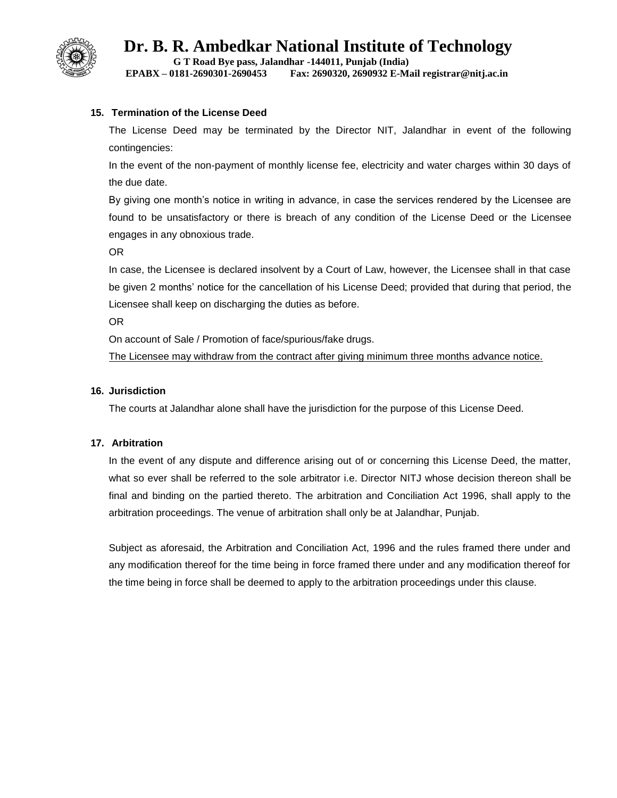

**G T Road Bye pass, Jalandhar -144011, Punjab (India)**

## **EPABX – 0181-2690301-2690453 Fax: 2690320, 2690932 E-Mail registrar@nitj.ac.in**

#### **15. Termination of the License Deed**

The License Deed may be terminated by the Director NIT, Jalandhar in event of the following contingencies:

In the event of the non-payment of monthly license fee, electricity and water charges within 30 days of the due date.

By giving one month's notice in writing in advance, in case the services rendered by the Licensee are found to be unsatisfactory or there is breach of any condition of the License Deed or the Licensee engages in any obnoxious trade.

OR

In case, the Licensee is declared insolvent by a Court of Law, however, the Licensee shall in that case be given 2 months' notice for the cancellation of his License Deed; provided that during that period, the Licensee shall keep on discharging the duties as before.

OR

On account of Sale / Promotion of face/spurious/fake drugs.

The Licensee may withdraw from the contract after giving minimum three months advance notice.

#### **16. Jurisdiction**

The courts at Jalandhar alone shall have the jurisdiction for the purpose of this License Deed.

#### **17. Arbitration**

In the event of any dispute and difference arising out of or concerning this License Deed, the matter, what so ever shall be referred to the sole arbitrator i.e. Director NITJ whose decision thereon shall be final and binding on the partied thereto. The arbitration and Conciliation Act 1996, shall apply to the arbitration proceedings. The venue of arbitration shall only be at Jalandhar, Punjab.

Subject as aforesaid, the Arbitration and Conciliation Act, 1996 and the rules framed there under and any modification thereof for the time being in force framed there under and any modification thereof for the time being in force shall be deemed to apply to the arbitration proceedings under this clause.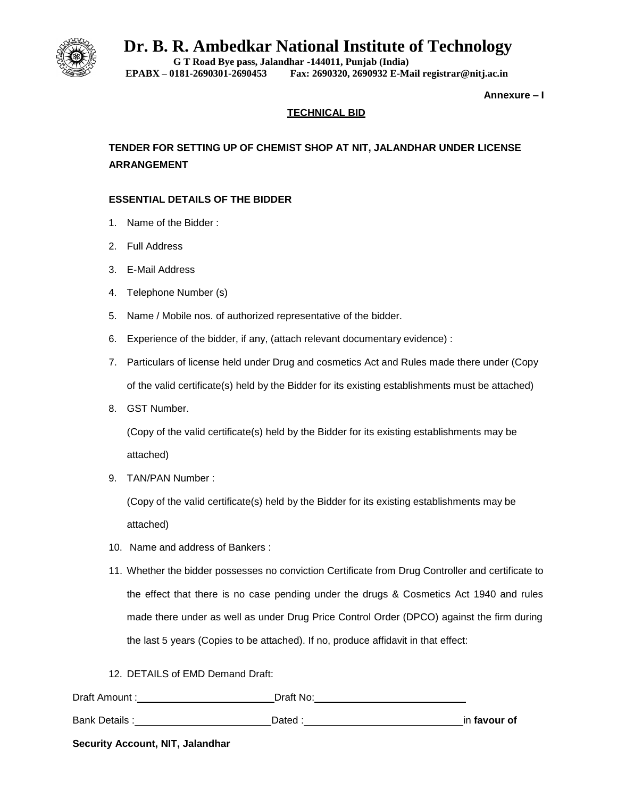

**G T Road Bye pass, Jalandhar -144011, Punjab (India) EPABX – 0181-2690301-2690453 Fax: 2690320, 2690932 E-Mail registrar@nitj.ac.in**

**Annexure – I**

## **TECHNICAL BID**

**TENDER FOR SETTING UP OF CHEMIST SHOP AT NIT, JALANDHAR UNDER LICENSE ARRANGEMENT**

### **ESSENTIAL DETAILS OF THE BIDDER**

- 1. Name of the Bidder :
- 2. Full Address
- 3. E-Mail Address
- 4. Telephone Number (s)
- 5. Name / Mobile nos. of authorized representative of the bidder.
- 6. Experience of the bidder, if any, (attach relevant documentary evidence) :
- 7. Particulars of license held under Drug and cosmetics Act and Rules made there under (Copy of the valid certificate(s) held by the Bidder for its existing establishments must be attached)
- 8. GST Number.

(Copy of the valid certificate(s) held by the Bidder for its existing establishments may be attached)

9. TAN/PAN Number :

(Copy of the valid certificate(s) held by the Bidder for its existing establishments may be attached)

- 10. Name and address of Bankers :
- 11. Whether the bidder possesses no conviction Certificate from Drug Controller and certificate to the effect that there is no case pending under the drugs & Cosmetics Act 1940 and rules made there under as well as under Drug Price Control Order (DPCO) against the firm during the last 5 years (Copies to be attached). If no, produce affidavit in that effect:
- 12. DETAILS of EMD Demand Draft:

| Draft Amount:        | Draft No: |              |
|----------------------|-----------|--------------|
| <b>Bank Details:</b> | Dated :   | in favour of |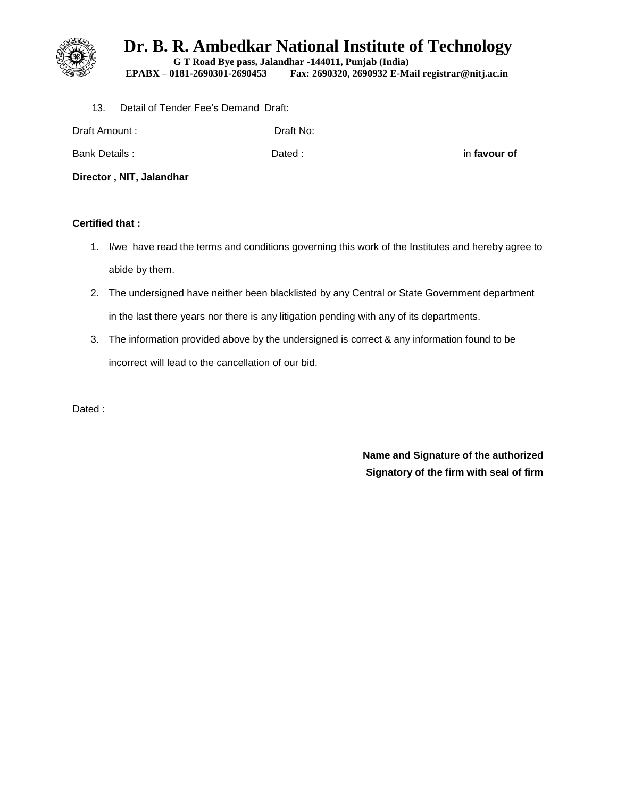

**G T Road Bye pass, Jalandhar -144011, Punjab (India) EPABX – 0181-2690301-2690453 Fax: 2690320, 2690932 E-Mail registrar@nitj.ac.in**

13. Detail of Tender Fee's Demand Draft: Draft Amount : Draft No: Bank Details : <u>Netally : and a particle of the Dated : and Dated : netall and a particle of the particle of the particle of</u> **Director , NIT, Jalandhar**

## **Certified that :**

- 1. I/we have read the terms and conditions governing this work of the Institutes and hereby agree to abide by them.
- 2. The undersigned have neither been blacklisted by any Central or State Government department in the last there years nor there is any litigation pending with any of its departments.
- 3. The information provided above by the undersigned is correct & any information found to be incorrect will lead to the cancellation of our bid.

Dated :

**Name and Signature of the authorized Signatory of the firm with seal of firm**